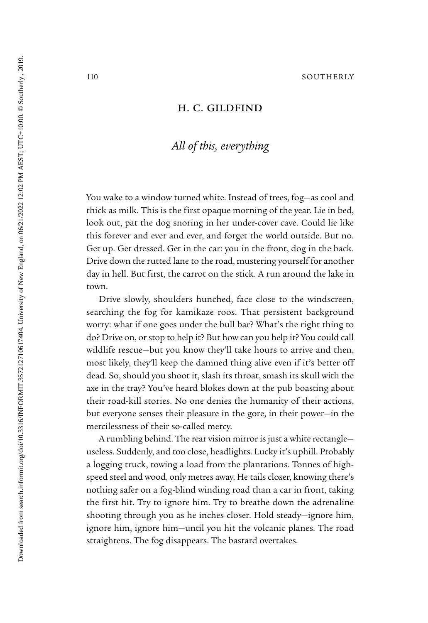## H. C. GILDFIND

## *All of this, everything*

You wake to a window turned white. Instead of trees, fog—as cool and thick as milk. This is the first opaque morning of the year. Lie in bed, look out, pat the dog snoring in her under-cover cave. Could lie like this forever and ever and ever, and forget the world outside. But no. Get up. Get dressed. Get in the car: you in the front, dog in the back. Drive down the rutted lane to the road, mustering yourself for another day in hell. But first, the carrot on the stick. A run around the lake in town.

Drive slowly, shoulders hunched, face close to the windscreen, searching the fog for kamikaze roos. That persistent background worry: what if one goes under the bull bar? What's the right thing to do? Drive on, or stop to help it? But how can you help it? You could call wildlife rescue—but you know they'll take hours to arrive and then, most likely, they'll keep the damned thing alive even if it's better off dead. So, should you shoot it, slash its throat, smash its skull with the axe in the tray? You've heard blokes down at the pub boasting about their road-kill stories. No one denies the humanity of their actions, but everyone senses their pleasure in the gore, in their power—in the mercilessness of their so-called mercy.

A rumbling behind. The rear vision mirror is just a white rectangle useless. Suddenly, and too close, headlights. Lucky it's uphill. Probably a logging truck, towing a load from the plantations. Tonnes of highspeed steel and wood, only metres away. He tails closer, knowing there's nothing safer on a fog-blind winding road than a car in front, taking the first hit. Try to ignore him. Try to breathe down the adrenaline shooting through you as he inches closer. Hold steady—ignore him, ignore him, ignore him—until you hit the volcanic planes. The road straightens. The fog disappears. The bastard overtakes.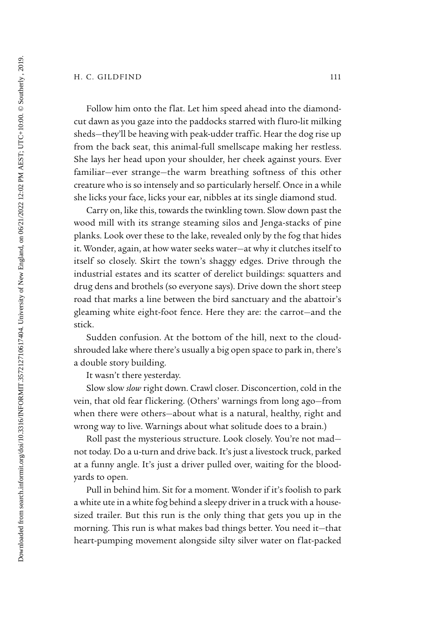Follow him onto the flat. Let him speed ahead into the diamondcut dawn as you gaze into the paddocks starred with fluro-lit milking sheds—they'll be heaving with peak-udder traffic. Hear the dog rise up from the back seat, this animal-full smellscape making her restless. She lays her head upon your shoulder, her cheek against yours. Ever familiar—ever strange—the warm breathing softness of this other creature who is so intensely and so particularly herself. Once in a while she licks your face, licks your ear, nibbles at its single diamond stud.

Carry on, like this, towards the twinkling town. Slow down past the wood mill with its strange steaming silos and Jenga-stacks of pine planks. Look over these to the lake, revealed only by the fog that hides it. Wonder, again, at how water seeks water—at why it clutches itself to itself so closely. Skirt the town's shaggy edges. Drive through the industrial estates and its scatter of derelict buildings: squatters and drug dens and brothels (so everyone says). Drive down the short steep road that marks a line between the bird sanctuary and the abattoir's gleaming white eight-foot fence. Here they are: the carrot—and the stick.

Sudden confusion. At the bottom of the hill, next to the cloudshrouded lake where there's usually a big open space to park in, there's a double story building.

It wasn't there yesterday.

Slow slow *slow* right down. Crawl closer. Disconcertion, cold in the vein, that old fear flickering. (Others' warnings from long ago—from when there were others—about what is a natural, healthy, right and wrong way to live. Warnings about what solitude does to a brain.)

Roll past the mysterious structure. Look closely. You're not mad not today. Do a u-turn and drive back. It's just a livestock truck, parked at a funny angle. It's just a driver pulled over, waiting for the bloodyards to open.

Pull in behind him. Sit for a moment. Wonder if it's foolish to park a white ute in a white fog behind a sleepy driver in a truck with a housesized trailer. But this run is the only thing that gets you up in the morning. This run is what makes bad things better. You need it—that heart-pumping movement alongside silty silver water on flat-packed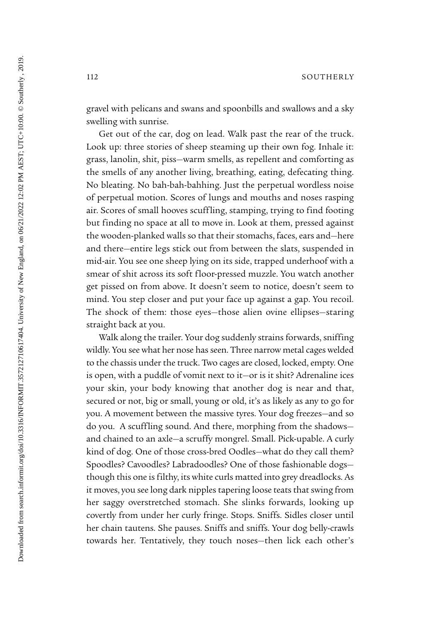gravel with pelicans and swans and spoonbills and swallows and a sky swelling with sunrise.

Get out of the car, dog on lead. Walk past the rear of the truck. Look up: three stories of sheep steaming up their own fog. Inhale it: grass, lanolin, shit, piss—warm smells, as repellent and comforting as the smells of any another living, breathing, eating, defecating thing. No bleating. No bah-bah-bahhing. Just the perpetual wordless noise of perpetual motion. Scores of lungs and mouths and noses rasping air. Scores of small hooves scuffling, stamping, trying to find footing but finding no space at all to move in. Look at them, pressed against the wooden-planked walls so that their stomachs, faces, ears and—here and there—entire legs stick out from between the slats, suspended in mid-air. You see one sheep lying on its side, trapped underhoof with a smear of shit across its soft floor-pressed muzzle. You watch another get pissed on from above. It doesn't seem to notice, doesn't seem to mind. You step closer and put your face up against a gap. You recoil. The shock of them: those eyes—those alien ovine ellipses—staring straight back at you.

Walk along the trailer. Your dog suddenly strains forwards, sniffing wildly. You see what her nose has seen. Three narrow metal cages welded to the chassis under the truck. Two cages are closed, locked, empty. One is open, with a puddle of vomit next to it—or is it shit? Adrenaline ices your skin, your body knowing that another dog is near and that, secured or not, big or small, young or old, it's as likely as any to go for you. A movement between the massive tyres. Your dog freezes—and so do you. A scuffling sound. And there, morphing from the shadows and chained to an axle—a scruffy mongrel. Small. Pick-upable. A curly kind of dog. One of those cross-bred Oodles—what do they call them? Spoodles? Cavoodles? Labradoodles? One of those fashionable dogs though this one is filthy, its white curls matted into grey dreadlocks. As it moves, you see long dark nipples tapering loose teats that swing from her saggy overstretched stomach. She slinks forwards, looking up covertly from under her curly fringe. Stops. Sniffs. Sidles closer until her chain tautens. She pauses. Sniffs and sniffs. Your dog belly-crawls towards her. Tentatively, they touch noses—then lick each other's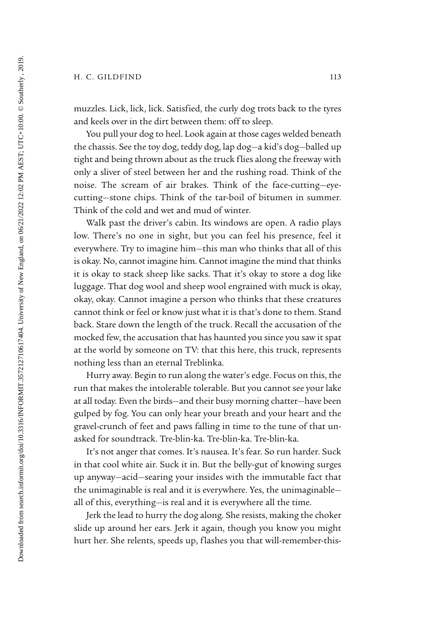muzzles. Lick, lick, lick. Satisfied, the curly dog trots back to the tyres and keels over in the dirt between them: off to sleep.

You pull your dog to heel. Look again at those cages welded beneath the chassis. See the toy dog, teddy dog, lap dog—a kid's dog—balled up tight and being thrown about as the truck flies along the freeway with only a sliver of steel between her and the rushing road. Think of the noise. The scream of air brakes. Think of the face-cutting—eyecutting—stone chips. Think of the tar-boil of bitumen in summer. Think of the cold and wet and mud of winter.

Walk past the driver's cabin. Its windows are open. A radio plays low. There's no one in sight, but you can feel his presence, feel it everywhere. Try to imagine him—this man who thinks that all of this is okay. No, cannot imagine him. Cannot imagine the mind that thinks it is okay to stack sheep like sacks. That it's okay to store a dog like luggage. That dog wool and sheep wool engrained with muck is okay, okay, okay. Cannot imagine a person who thinks that these creatures cannot think or feel or know just what it is that's done to them. Stand back. Stare down the length of the truck. Recall the accusation of the mocked few, the accusation that has haunted you since you saw it spat at the world by someone on TV: that this here, this truck, represents nothing less than an eternal Treblinka.

Hurry away. Begin to run along the water's edge. Focus on this, the run that makes the intolerable tolerable. But you cannot see your lake at all today. Even the birds—and their busy morning chatter—have been gulped by fog. You can only hear your breath and your heart and the gravel-crunch of feet and paws falling in time to the tune of that unasked for soundtrack. Tre-blin-ka. Tre-blin-ka. Tre-blin-ka.

It's not anger that comes. It's nausea. It's fear. So run harder. Suck in that cool white air. Suck it in. But the belly-gut of knowing surges up anyway—acid—searing your insides with the immutable fact that the unimaginable is real and it is everywhere. Yes, the unimaginable all of this, everything—is real and it is everywhere all the time.

Jerk the lead to hurry the dog along. She resists, making the choker slide up around her ears. Jerk it again, though you know you might hurt her. She relents, speeds up, flashes you that will-remember-this-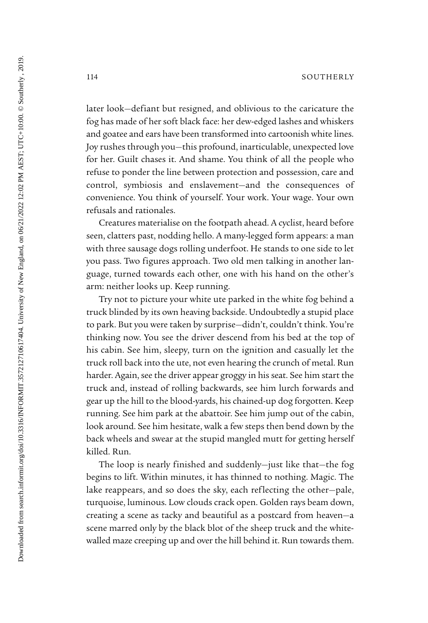later look—defiant but resigned, and oblivious to the caricature the fog has made of her soft black face: her dew-edged lashes and whiskers and goatee and ears have been transformed into cartoonish white lines. Joy rushes through you—this profound, inarticulable, unexpected love for her. Guilt chases it. And shame. You think of all the people who refuse to ponder the line between protection and possession, care and control, symbiosis and enslavement—and the consequences of convenience. You think of yourself. Your work. Your wage. Your own refusals and rationales.

Creatures materialise on the footpath ahead. A cyclist, heard before seen, clatters past, nodding hello. A many-legged form appears: a man with three sausage dogs rolling underfoot. He stands to one side to let you pass. Two figures approach. Two old men talking in another language, turned towards each other, one with his hand on the other's arm: neither looks up. Keep running.

Try not to picture your white ute parked in the white fog behind a truck blinded by its own heaving backside. Undoubtedly a stupid place to park. But you were taken by surprise—didn't, couldn't think. You're thinking now. You see the driver descend from his bed at the top of his cabin. See him, sleepy, turn on the ignition and casually let the truck roll back into the ute, not even hearing the crunch of metal. Run harder. Again, see the driver appear groggy in his seat. See him start the truck and, instead of rolling backwards, see him lurch forwards and gear up the hill to the blood-yards, his chained-up dog forgotten. Keep running. See him park at the abattoir. See him jump out of the cabin, look around. See him hesitate, walk a few steps then bend down by the back wheels and swear at the stupid mangled mutt for getting herself killed. Run.

The loop is nearly finished and suddenly—just like that—the fog begins to lift. Within minutes, it has thinned to nothing. Magic. The lake reappears, and so does the sky, each reflecting the other—pale, turquoise, luminous. Low clouds crack open. Golden rays beam down, creating a scene as tacky and beautiful as a postcard from heaven—a scene marred only by the black blot of the sheep truck and the whitewalled maze creeping up and over the hill behind it. Run towards them.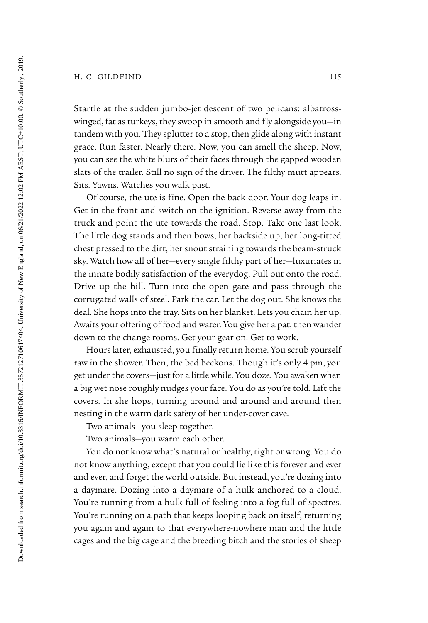## H. C. GILDFIND 115

Startle at the sudden jumbo-jet descent of two pelicans: albatrosswinged, fat as turkeys, they swoop in smooth and fly alongside you—in tandem with you. They splutter to a stop, then glide along with instant grace. Run faster. Nearly there. Now, you can smell the sheep. Now, you can see the white blurs of their faces through the gapped wooden slats of the trailer. Still no sign of the driver. The filthy mutt appears. Sits. Yawns. Watches you walk past.

Of course, the ute is fine. Open the back door. Your dog leaps in. Get in the front and switch on the ignition. Reverse away from the truck and point the ute towards the road. Stop. Take one last look. The little dog stands and then bows, her backside up, her long-titted chest pressed to the dirt, her snout straining towards the beam-struck sky. Watch how all of her—every single filthy part of her—luxuriates in the innate bodily satisfaction of the everydog. Pull out onto the road. Drive up the hill. Turn into the open gate and pass through the corrugated walls of steel. Park the car. Let the dog out. She knows the deal. She hops into the tray. Sits on her blanket. Lets you chain her up. Awaits your offering of food and water. You give her a pat, then wander down to the change rooms. Get your gear on. Get to work.

Hours later, exhausted, you finally return home. You scrub yourself raw in the shower. Then, the bed beckons. Though it's only 4 pm, you get under the covers—just for a little while. You doze. You awaken when a big wet nose roughly nudges your face. You do as you're told. Lift the covers. In she hops, turning around and around and around then nesting in the warm dark safety of her under-cover cave.

Two animals—you sleep together.

Two animals—you warm each other.

You do not know what's natural or healthy, right or wrong. You do not know anything, except that you could lie like this forever and ever and ever, and forget the world outside. But instead, you're dozing into a daymare. Dozing into a daymare of a hulk anchored to a cloud. You're running from a hulk full of feeling into a fog full of spectres. You're running on a path that keeps looping back on itself, returning you again and again to that everywhere-nowhere man and the little cages and the big cage and the breeding bitch and the stories of sheep